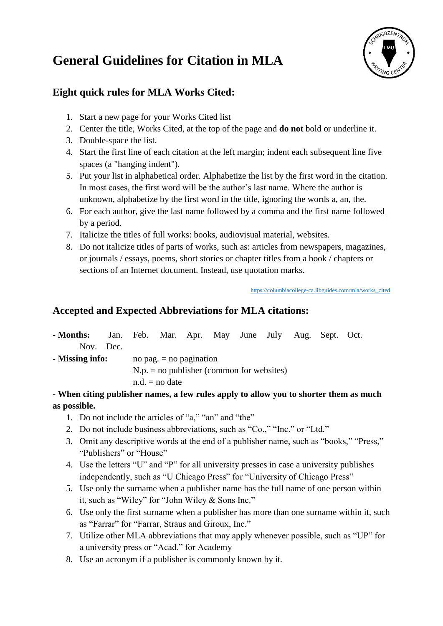## **General Guidelines for Citation in MLA**



## **Eight quick rules for MLA Works Cited:**

- 1. Start a new page for your Works Cited list
- 2. Center the title, Works Cited, at the top of the page and **do not** bold or underline it.
- 3. Double-space the list.
- 4. Start the first line of each citation at the left margin; indent each subsequent line five spaces (a "hanging indent").
- 5. Put your list in alphabetical order. Alphabetize the list by the first word in the citation. In most cases, the first word will be the author's last name. Where the author is unknown, alphabetize by the first word in the title, ignoring the words a, an, the.
- 6. For each author, give the last name followed by a comma and the first name followed by a period.
- 7. Italicize the titles of full works: books, audiovisual material, websites.
- 8. Do not italicize titles of parts of works, such as: articles from newspapers, magazines, or journals / essays, poems, short stories or chapter titles from a book / chapters or sections of an Internet document. Instead, use quotation marks.

[https://columbiacollege-ca.libguides.com/mla/works\\_cited](https://columbiacollege-ca.libguides.com/mla/works_cited)

### **Accepted and Expected Abbreviations for MLA citations:**

| - Months:                                   |  |                           |                  |  | Jan. Feb. Mar. Apr. May June July Aug. Sept. Oct. |  |  |  |  |  |  |
|---------------------------------------------|--|---------------------------|------------------|--|---------------------------------------------------|--|--|--|--|--|--|
| Nov. Dec.                                   |  |                           |                  |  |                                                   |  |  |  |  |  |  |
| - Missing info:                             |  | no pag. $=$ no pagination |                  |  |                                                   |  |  |  |  |  |  |
| $N.p.$ = no publisher (common for websites) |  |                           |                  |  |                                                   |  |  |  |  |  |  |
|                                             |  |                           | $n.d. = no date$ |  |                                                   |  |  |  |  |  |  |
| $\mathbf{X} \mathbf{X}$                     |  |                           |                  |  |                                                   |  |  |  |  |  |  |

### **- When citing publisher names, a few rules apply to allow you to shorter them as much as possible.**

- 1. Do not include the articles of "a," "an" and "the"
- 2. Do not include business abbreviations, such as "Co.," "Inc." or "Ltd."
- 3. Omit any descriptive words at the end of a publisher name, such as "books," "Press," "Publishers" or "House"
- 4. Use the letters "U" and "P" for all university presses in case a university publishes independently, such as "U Chicago Press" for "University of Chicago Press"
- 5. Use only the surname when a publisher name has the full name of one person within it, such as "Wiley" for "John Wiley & Sons Inc."
- 6. Use only the first surname when a publisher has more than one surname within it, such as "Farrar" for "Farrar, Straus and Giroux, Inc."
- 7. Utilize other MLA abbreviations that may apply whenever possible, such as "UP" for a university press or "Acad." for Academy
- 8. Use an acronym if a publisher is commonly known by it.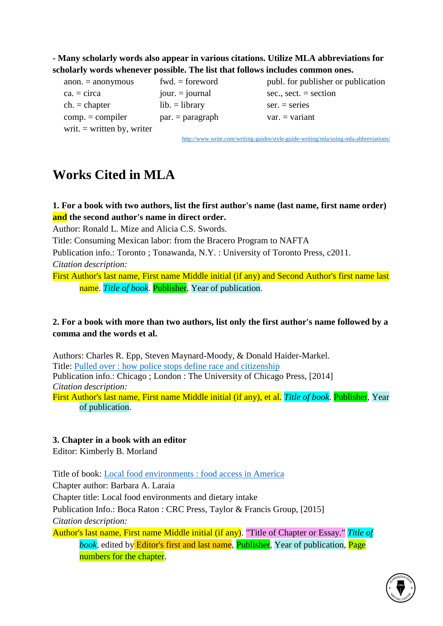### **- Many scholarly words also appear in various citations. Utilize MLA abbreviations for scholarly words whenever possible. The list that follows includes common ones.**

 $ca. = circa$  jour. = journal sec., sect. = section  $ch. = chapter$  lib. = library ser. = series  $comp. = compiler$  par. = paragraph var. = variant writ.  $=$  written by, writer

 $anon. = *anonymous*$  fwd.  $= *foreword*$  publ. for publisher or publication

<http://www.write.com/writing-guides/style-guide-writing/mla/using-mla-abbreviations/>

# **Works Cited in MLA**

### **1. For a book with two authors, list the first author's name (last name, first name order) and the second author's name in direct order.**

Author: Ronald L. Mize and Alicia C.S. Swords.

Title: Consuming Mexican labor: from the Bracero Program to NAFTA

Publication info.: Toronto ; Tonawanda, N.Y. : University of Toronto Press, c2011.

*Citation description:*

First Author's last name, First name Middle initial (if any) and Second Author's first name last name. *Title of book*. Publisher, Year of publication.

### **2. For a book with more than two authors, list only the first author's name followed by a comma and the words et al.**

Authors: Charles R. Epp, Steven Maynard-Moody, & Donald Haider-Markel. Title: [Pulled over :](http://catalog.plsinfo.org/record=b2292122) [how police stops define race and citizenship](http://catalog.plsinfo.org/record=b2292122) Publication info.: Chicago ; London : The University of Chicago Press, [2014] *Citation description:* First Author's last name, First name Middle initial (if any), et al. *Title of book*. Publisher, Year of publication.

#### **3. Chapter in a book with an editor**

Editor: Kimberly B. Morland

Title of book: [Local food environments :](http://catalog.plsinfo.org/record=b2391858) [food access in America](http://catalog.plsinfo.org/record=b2391858) Chapter author: Barbara A. Laraia Chapter title: Local food environments and dietary intake Publication Info.: Boca Raton : CRC Press, Taylor & Francis Group, [2015] *Citation description:* Author's last name, First name Middle initial (if any). "Title of Chapter or Essay." *Title of book,* edited by Editor's first and last name, Publisher, Year of publication, Page numbers for the chapter.